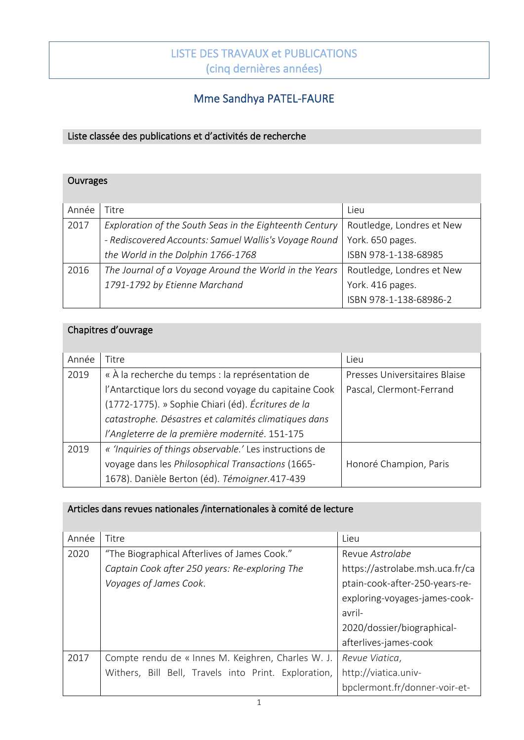# LISTE DES TRAVAUX et PUBLICATIONS (cinq dernières années)

j

### Ī Mme Sandhya PATEL-FAURE

#### Liste classée des publications et d'activités de recherche

| Ouvrages |                                                         |                           |  |  |  |
|----------|---------------------------------------------------------|---------------------------|--|--|--|
| Année    | Titre                                                   | Lieu                      |  |  |  |
| 2017     | Exploration of the South Seas in the Eighteenth Century | Routledge, Londres et New |  |  |  |
|          | - Rediscovered Accounts: Samuel Wallis's Voyage Round   | York. 650 pages.          |  |  |  |
|          | the World in the Dolphin 1766-1768                      | ISBN 978-1-138-68985      |  |  |  |
| 2016     | The Journal of a Voyage Around the World in the Years   | Routledge, Londres et New |  |  |  |
|          | 1791-1792 by Etienne Marchand                           | York. 416 pages.          |  |  |  |
|          |                                                         | ISBN 978-1-138-68986-2    |  |  |  |

## Chapitres d'ouvrage

| Année | Titre                                                   | Lieu                          |
|-------|---------------------------------------------------------|-------------------------------|
| 2019  | « À la recherche du temps : la représentation de        | Presses Universitaires Blaise |
|       | l'Antarctique lors du second voyage du capitaine Cook   | Pascal, Clermont-Ferrand      |
|       | (1772-1775). » Sophie Chiari (éd). Écritures de la      |                               |
|       | catastrophe. Désastres et calamités climatiques dans    |                               |
|       | l'Angleterre de la première modernité. 151-175          |                               |
| 2019  | « 'Inquiries of things observable.' Les instructions de |                               |
|       | voyage dans les Philosophical Transactions (1665-       | Honoré Champion, Paris        |
|       | 1678). Danièle Berton (éd). Témoigner.417-439           |                               |

#### Articles dans revues nationales /internationales à comité de lecture

| Année | Titre                                                | Lieu                            |
|-------|------------------------------------------------------|---------------------------------|
| 2020  | "The Biographical Afterlives of James Cook."         | Revue <i>Astrolabe</i>          |
|       | Captain Cook after 250 years: Re-exploring The       | https://astrolabe.msh.uca.fr/ca |
|       | Voyages of James Cook.                               | ptain-cook-after-250-years-re-  |
|       |                                                      | exploring-voyages-james-cook-   |
|       |                                                      | avril-                          |
|       |                                                      | 2020/dossier/biographical-      |
|       |                                                      | afterlives-james-cook           |
| 2017  | Compte rendu de « Innes M. Keighren, Charles W. J.   | Revue Viatica,                  |
|       | Withers, Bill Bell, Travels into Print. Exploration, | http://viatica.univ-            |
|       |                                                      | bpclermont.fr/donner-voir-et-   |